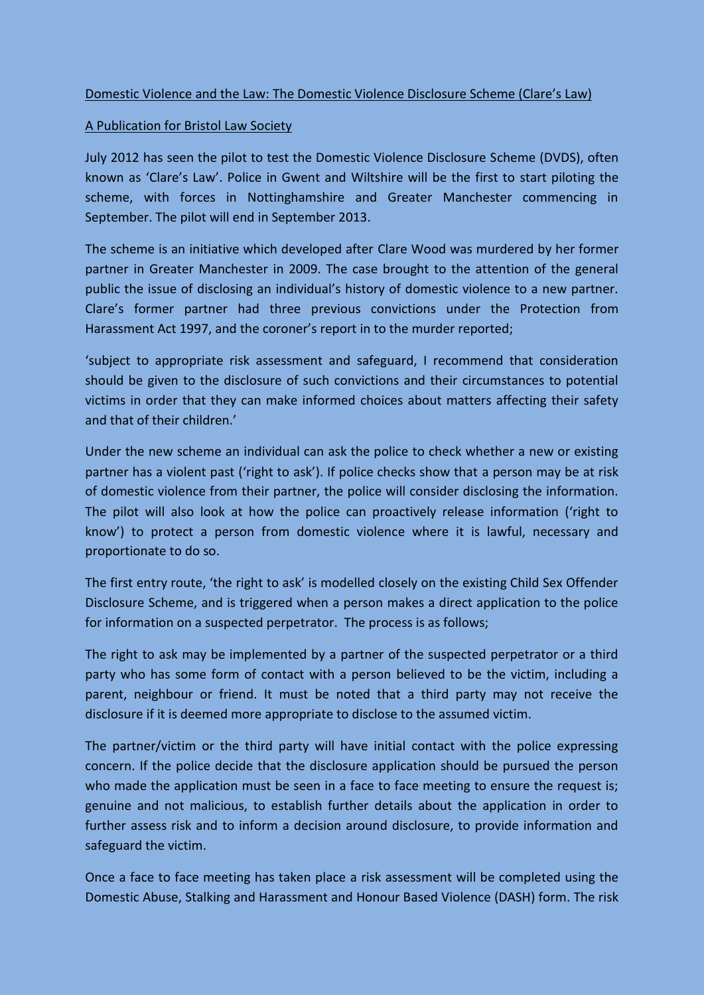## Domestic Violence and the Law: The Domestic Violence Disclosure Scheme (Clare's Law)

## A Publication for Bristol Law Society

July 2012 has seen the pilot to test the Domestic Violence Disclosure Scheme (DVDS), often known as 'Clare's Law'. Police in Gwent and Wiltshire will be the first to start piloting the scheme, with forces in Nottinghamshire and Greater Manchester commencing in September. The pilot will end in September 2013.

The scheme is an initiative which developed after Clare Wood was murdered by her former partner in Greater Manchester in 2009. The case brought to the attention of the general public the issue of disclosing an individual's history of domestic violence to a new partner. Clare's former partner had three previous convictions under the Protection from Harassment Act 1997, and the coroner's report in to the murder reported;

'subject to appropriate risk assessment and safeguard, I recommend that consideration should be given to the disclosure of such convictions and their circumstances to potential victims in order that they can make informed choices about matters affecting their safety and that of their children.'

Under the new scheme an individual can ask the police to check whether a new or existing partner has a violent past ('right to ask'). If police checks show that a person may be at risk of domestic violence from their partner, the police will consider disclosing the information. The pilot will also look at how the police can proactively release information ('right to know') to protect a person from domestic violence where it is lawful, necessary and proportionate to do so.

The first entry route, 'the right to ask' is modelled closely on the existing Child Sex Offender Disclosure Scheme, and is triggered when a person makes a direct application to the police for information on a suspected perpetrator. The process is as follows;

The right to ask may be implemented by a partner of the suspected perpetrator or a third party who has some form of contact with a person believed to be the victim, including a parent, neighbour or friend. It must be noted that a third party may not receive the disclosure if it is deemed more appropriate to disclose to the assumed victim.

The partner/victim or the third party will have initial contact with the police expressing concern. If the police decide that the disclosure application should be pursued the person who made the application must be seen in a face to face meeting to ensure the request is; genuine and not malicious, to establish further details about the application in order to further assess risk and to inform a decision around disclosure, to provide information and safeguard the victim.

Once a face to face meeting has taken place a risk assessment will be completed using the Domestic Abuse, Stalking and Harassment and Honour Based Violence (DASH) form. The risk